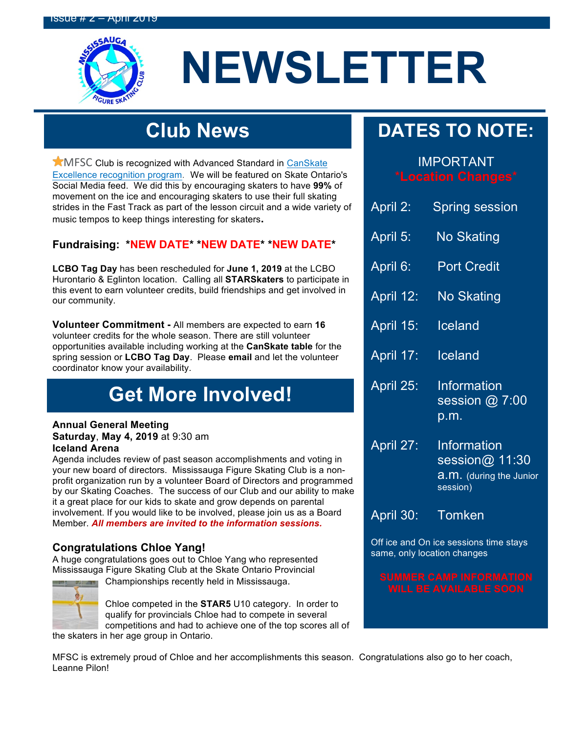

# **NEWSLETTER**

# **Club News**

**K**MFSC Club is recognized with Advanced Standard in CanSkate Excellence recognition program. We will be featured on Skate Ontario's Social Media feed. We did this by encouraging skaters to have **99%** of movement on the ice and encouraging skaters to use their full skating strides in the Fast Track as part of the lesson circuit and a wide variety of music tempos to keep things interesting for skaters**.**

### **Fundraising: \*NEW DATE\* \*NEW DATE\* \*NEW DATE\***

**LCBO Tag Day** has been rescheduled for **June 1, 2019** at the LCBO Hurontario & Eglinton location. Calling all **STARSkaters** to participate in this event to earn volunteer credits, build friendships and get involved in our community.

**Volunteer Commitment -** All members are expected to earn **16** volunteer credits for the whole season. There are still volunteer opportunities available including working at the **CanSkate table** for the spring session or **LCBO Tag Day**. Please **email** and let the volunteer coordinator know your availability.

## **Get More Involved!**

#### **Annual General Meeting Saturday**, **May 4, 2019** at 9:30 am

### **Iceland Arena**

Agenda includes review of past season accomplishments and voting in your new board of directors. Mississauga Figure Skating Club is a nonprofit organization run by a volunteer Board of Directors and programmed by our Skating Coaches. The success of our Club and our ability to make it a great place for our kids to skate and grow depends on parental involvement. If you would like to be involved, please join us as a Board Member. *All members are invited to the information sessions.*

### **Congratulations Chloe Yang!**

A huge congratulations goes out to Chloe Yang who represented Mississauga Figure Skating Club at the Skate Ontario Provincial



Championships recently held in Mississauga.

Chloe competed in the **STAR5** U10 category. In order to qualify for provincials Chloe had to compete in several competitions and had to achieve one of the top scores all of the skaters in her age group in Ontario.

**DATES TO NOTE:**

# IMPORTANT

| April 2:  | <b>Spring session</b>                                                              |
|-----------|------------------------------------------------------------------------------------|
| April 5:  | <b>No Skating</b>                                                                  |
| April 6:  | <b>Port Credit</b>                                                                 |
| April 12: | <b>No Skating</b>                                                                  |
| April 15: | Iceland                                                                            |
| April 17: | <b>Iceland</b>                                                                     |
| April 25: | Information<br>session @ 7:00 $\,$<br>p.m.                                         |
| April 27: | <u>Information</u><br>session@ 11:30<br><b>a.m.</b> (during the Junior<br>session) |
| April 30: | Tomken                                                                             |

Off ice and On ice sessions time stays same, only location changes

MFSC is extremely proud of Chloe and her accomplishments this season. Congratulations also go to her coach, Leanne Pilon!